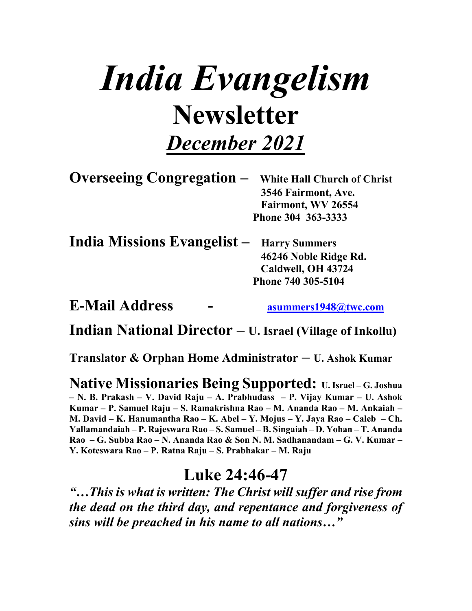# *India Evangelism* **Newsletter** *December 2021*

| <b>Overseeing Congregation -</b> White Hall Church of Christ |
|--------------------------------------------------------------|
| 3546 Fairmont, Ave.                                          |
| Fairmont, WV 26554                                           |
| Phone 304 363-3333                                           |
|                                                              |

| <b>India Missions Evangelist - Harry Summers</b> |                       |
|--------------------------------------------------|-----------------------|
|                                                  | 46246 Noble Ridge Rd. |
|                                                  | Caldwell, OH 43724    |
|                                                  | Phone 740 305-5104    |
|                                                  |                       |

**E-Mail Address - asummers1948@twc.com**

**Indian National Director – U. Israel (Village of Inkollu)**

**Translator & Orphan Home Administrator – U. Ashok Kumar** 

**Native Missionaries Being Supported: U. Israel – G. Joshua – N. B. Prakash – V. David Raju – A. Prabhudass – P. Vijay Kumar – U. Ashok Kumar – P. Samuel Raju – S. Ramakrishna Rao – M. Ananda Rao – M. Ankaiah – M. David – K. Hanumantha Rao – K. Abel – Y. Mojus – Y. Jaya Rao – Caleb – Ch. Yallamandaiah – P. Rajeswara Rao – S. Samuel – B. Singaiah – D. Yohan – T. Ananda Rao – G. Subba Rao – N. Ananda Rao & Son N. M. Sadhanandam – G. V. Kumar – Y. Koteswara Rao – P. Ratna Raju – S. Prabhakar – M. Raju**

#### **Luke 24:46-47**

*"…This is what is written: The Christ will suffer and rise from the dead on the third day, and repentance and forgiveness of sins will be preached in his name to all nations…"*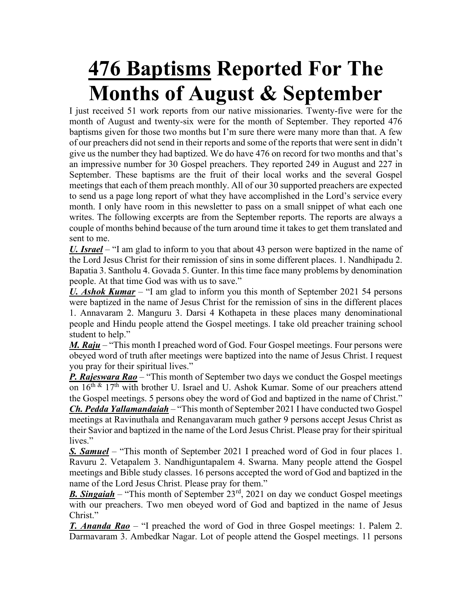## **476 Baptisms Reported For The Months of August & September**

I just received 51 work reports from our native missionaries. Twenty-five were for the month of August and twenty-six were for the month of September. They reported 476 baptisms given for those two months but I'm sure there were many more than that. A few of our preachers did not send in their reports and some of the reports that were sent in didn't give us the number they had baptized. We do have 476 on record for two months and that's an impressive number for 30 Gospel preachers. They reported 249 in August and 227 in September. These baptisms are the fruit of their local works and the several Gospel meetings that each of them preach monthly. All of our 30 supported preachers are expected to send us a page long report of what they have accomplished in the Lord's service every month. I only have room in this newsletter to pass on a small snippet of what each one writes. The following excerpts are from the September reports. The reports are always a couple of months behind because of the turn around time it takes to get them translated and sent to me.

*U. Israel* – "I am glad to inform to you that about 43 person were baptized in the name of the Lord Jesus Christ for their remission of sins in some different places. 1. Nandhipadu 2. Bapatia 3. Santholu 4. Govada 5. Gunter. In this time face many problems by denomination people. At that time God was with us to save."

*U. Ashok Kumar* – "I am glad to inform you this month of September 2021 54 persons were baptized in the name of Jesus Christ for the remission of sins in the different places 1. Annavaram 2. Manguru 3. Darsi 4 Kothapeta in these places many denominational people and Hindu people attend the Gospel meetings. I take old preacher training school student to help."

*M. Raju* – "This month I preached word of God. Four Gospel meetings. Four persons were obeyed word of truth after meetings were baptized into the name of Jesus Christ. I request you pray for their spiritual lives."

*P. Rajeswara Rao* – "This month of September two days we conduct the Gospel meetings on  $16<sup>th</sup>$  &  $17<sup>th</sup>$  with brother U. Israel and U. Ashok Kumar. Some of our preachers attend the Gospel meetings. 5 persons obey the word of God and baptized in the name of Christ."

*Ch. Pedda Yallamandaiah* – "This month of September 2021 I have conducted two Gospel meetings at Ravinuthala and Renangavaram much gather 9 persons accept Jesus Christ as their Savior and baptized in the name of the Lord Jesus Christ. Please pray for their spiritual lives."

*S. Samuel* – "This month of September 2021 I preached word of God in four places 1. Ravuru 2. Vetapalem 3. Nandhiguntapalem 4. Swarna. Many people attend the Gospel meetings and Bible study classes. 16 persons accepted the word of God and baptized in the name of the Lord Jesus Christ. Please pray for them."

*B. Singaiah* – "This month of September 23rd, 2021 on day we conduct Gospel meetings with our preachers. Two men obeyed word of God and baptized in the name of Jesus Christ."

*T. Ananda Rao* – "I preached the word of God in three Gospel meetings: 1. Palem 2. Darmavaram 3. Ambedkar Nagar. Lot of people attend the Gospel meetings. 11 persons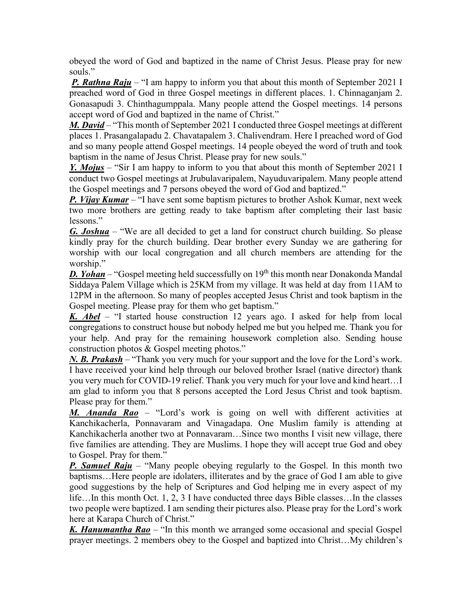obeyed the word of God and baptized in the name of Christ Jesus. Please pray for new souls."

*P. Rathna Raju* – "I am happy to inform you that about this month of September 2021 I preached word of God in three Gospel meetings in different places. 1. Chinnaganjam 2. Gonasapudi 3. Chinthagumppala. Many people attend the Gospel meetings. 14 persons accept word of God and baptized in the name of Christ."

*M. David* – "This month of September 2021 I conducted three Gospel meetings at different places 1. Prasangalapadu 2. Chavatapalem 3. Chalivendram. Here I preached word of God and so many people attend Gospel meetings. 14 people obeyed the word of truth and took baptism in the name of Jesus Christ. Please pray for new souls."

*Y. Mojus* – "Sir I am happy to inform to you that about this month of September 2021 I conduct two Gospel meetings at Jrubulavaripalem, Nayuduvaripalem. Many people attend the Gospel meetings and 7 persons obeyed the word of God and baptized."

*P. Vijay Kumar* – "I have sent some baptism pictures to brother Ashok Kumar, next week two more brothers are getting ready to take baptism after completing their last basic lessons."

*G. Joshua* – "We are all decided to get a land for construct church building. So please kindly pray for the church building. Dear brother every Sunday we are gathering for worship with our local congregation and all church members are attending for the worship."

**D. Yohan** – "Gospel meeting held successfully on 19<sup>th</sup> this month near Donakonda Mandal Siddaya Palem Village which is 25KM from my village. It was held at day from 11AM to 12PM in the afternoon. So many of peoples accepted Jesus Christ and took baptism in the Gospel meeting. Please pray for them who get baptism."

*K. Abel* – "I started house construction 12 years ago. I asked for help from local congregations to construct house but nobody helped me but you helped me. Thank you for your help. And pray for the remaining housework completion also. Sending house construction photos & Gospel meeting photos."

*N. B. Prakash* – "Thank you very much for your support and the love for the Lord's work. I have received your kind help through our beloved brother Israel (native director) thank you very much for COVID-19 relief. Thank you very much for your love and kind heart…I am glad to inform you that 8 persons accepted the Lord Jesus Christ and took baptism. Please pray for them."

*M. Ananda Rao* – "Lord's work is going on well with different activities at Kanchikacherla, Ponnavaram and Vinagadapa. One Muslim family is attending at Kanchikacherla another two at Ponnavaram…Since two months I visit new village, there five families are attending. They are Muslims. I hope they will accept true God and obey to Gospel. Pray for them."

**P. Samuel Raju** – "Many people obeying regularly to the Gospel. In this month two baptisms…Here people are idolaters, illiterates and by the grace of God I am able to give good suggestions by the help of Scriptures and God helping me in every aspect of my life…In this month Oct. 1, 2, 3 I have conducted three days Bible classes…In the classes two people were baptized. I am sending their pictures also. Please pray for the Lord's work here at Karapa Church of Christ."

*K. Hanumantha Rao* – "In this month we arranged some occasional and special Gospel prayer meetings. 2 members obey to the Gospel and baptized into Christ…My children's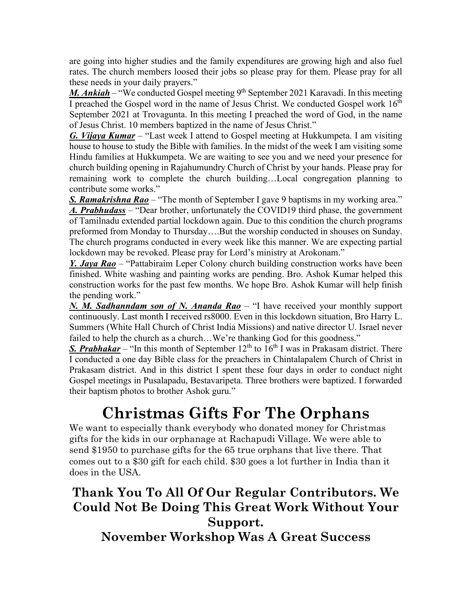are going into higher studies and the family expenditures are growing high and also fuel rates. The church members loosed their jobs so please pray for them. Please pray for all these needs in your daily prayers."

*M. Ankiah* – "We conducted Gospel meeting 9<sup>th</sup> September 2021 Karavadi. In this meeting I preached the Gospel word in the name of Jesus Christ. We conducted Gospel work  $16<sup>th</sup>$ September 2021 at Trovagunta. In this meeting I preached the word of God, in the name of Jesus Christ. 10 members baptized in the name of Jesus Christ."

*G. Vijaya Kumar* – "Last week I attend to Gospel meeting at Hukkumpeta. I am visiting house to house to study the Bible with families. In the midst of the week I am visiting some Hindu families at Hukkumpeta. We are waiting to see you and we need your presence for church building opening in Rajahumundry Church of Christ by your hands. Please pray for remaining work to complete the church building…Local congregation planning to contribute some works."

*S. Ramakrishna Rao* – "The month of September I gave 9 baptisms in my working area." *A. Prabhudass* – "Dear brother, unfortunately the COVID19 third phase, the government of Tamilnadu extended partial lockdown again. Due to this condition the church programs preformed from Monday to Thursday….But the worship conducted in shouses on Sunday. The church programs conducted in every week like this manner. We are expecting partial lockdown may be revoked. Please pray for Lord's ministry at Arokonam."

*Y. Jaya Rao* – "Pattabiraim Leper Colony church building construction works have been finished. White washing and painting works are pending. Bro. Ashok Kumar helped this construction works for the past few months. We hope Bro. Ashok Kumar will help finish the pending work."

*N. M. Sadhanndam son of N. Ananda Rao* – "I have received your monthly support continuously. Last month I received rs8000. Even in this lockdown situation, Bro Harry L. Summers (White Hall Church of Christ India Missions) and native director U. Israel never failed to help the church as a church...We're thanking God for this goodness."

*S. Prabhakar* – "In this month of September  $12<sup>th</sup>$  to  $16<sup>th</sup>$  I was in Prakasam district. There I conducted a one day Bible class for the preachers in Chintalapalem Church of Christ in Prakasam district. And in this district I spent these four days in order to conduct night Gospel meetings in Pusalapadu, Bestavaripeta. Three brothers were baptized. I forwarded their baptism photos to brother Ashok guru."

#### **Christmas Gifts For The Orphans**

We want to especially thank everybody who donated money for Christmas gifts for the kids in our orphanage at Rachapudi Village. We were able to send \$1950 to purchase gifts for the 65 true orphans that live there. That comes out to a \$30 gift for each child. \$30 goes a lot further in India than it does in the USA.

#### **Thank You To All Of Our Regular Contributors. We Could Not Be Doing This Great Work Without Your Support. November Workshop Was A Great Success**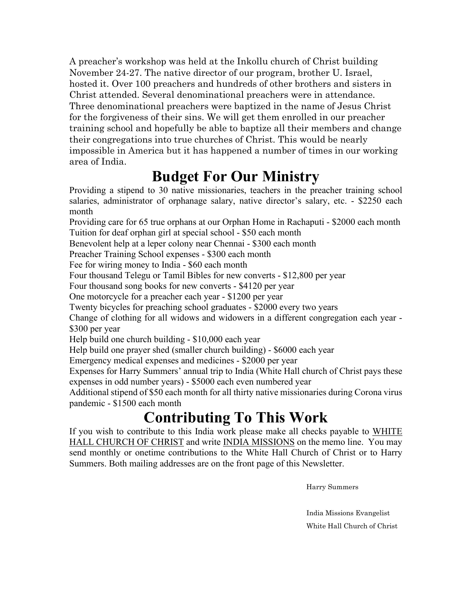A preacher's workshop was held at the Inkollu church of Christ building November 24-27. The native director of our program, brother U. Israel, hosted it. Over 100 preachers and hundreds of other brothers and sisters in Christ attended. Several denominational preachers were in attendance. Three denominational preachers were baptized in the name of Jesus Christ for the forgiveness of their sins. We will get them enrolled in our preacher training school and hopefully be able to baptize all their members and change their congregations into true churches of Christ. This would be nearly impossible in America but it has happened a number of times in our working area of India.

### **Budget For Our Ministry**

Providing a stipend to 30 native missionaries, teachers in the preacher training school salaries, administrator of orphanage salary, native director's salary, etc. - \$2250 each month

Providing care for 65 true orphans at our Orphan Home in Rachaputi - \$2000 each month Tuition for deaf orphan girl at special school - \$50 each month

Benevolent help at a leper colony near Chennai - \$300 each month

Preacher Training School expenses - \$300 each month

Fee for wiring money to India - \$60 each month

Four thousand Telegu or Tamil Bibles for new converts - \$12,800 per year

Four thousand song books for new converts - \$4120 per year

One motorcycle for a preacher each year - \$1200 per year

Twenty bicycles for preaching school graduates - \$2000 every two years

Change of clothing for all widows and widowers in a different congregation each year - \$300 per year

Help build one church building - \$10,000 each year

Help build one prayer shed (smaller church building) - \$6000 each year

Emergency medical expenses and medicines - \$2000 per year

Expenses for Harry Summers' annual trip to India (White Hall church of Christ pays these expenses in odd number years) - \$5000 each even numbered year

Additional stipend of \$50 each month for all thirty native missionaries during Corona virus pandemic - \$1500 each month

#### **Contributing To This Work**

If you wish to contribute to this India work please make all checks payable to WHITE HALL CHURCH OF CHRIST and write INDIA MISSIONS on the memo line. You may send monthly or onetime contributions to the White Hall Church of Christ or to Harry Summers. Both mailing addresses are on the front page of this Newsletter.

Harry Summers

 India Missions Evangelist White Hall Church of Christ